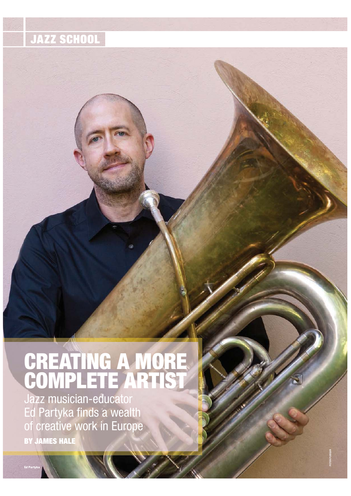## **JAZZ SCHOOL**

## **CREATING A MORE COMPLETE ARTIST**

Jazz musician-educator Ed Partyka finds a wealth of creative work in Europe **BY JAMES HALE**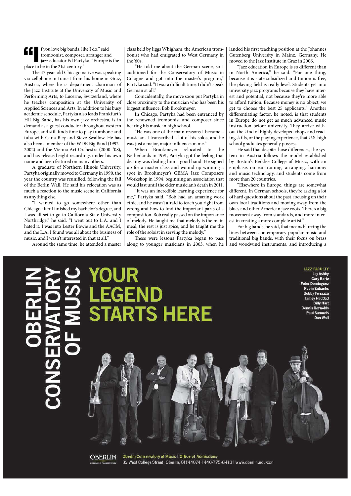$\blacksquare$  I f you love big bands, like I do," said trombonist, composer, arranger and jazz educator Ed Partyka, "Europe is the place to be in the 21st century."

The 47-year-old Chicago native was speaking via cellphone in transit from his home in Graz, Austria, where he is department chairman of the Jazz Institute at the University of Music and Performing Arts, to Lucerne, Switzerland, where he teaches composition at the University of Applied Sciences and Arts. In addition to his busy academic schedule, Partyka also leads Frankfurt's HR Big Band, has his own jazz orchestra, is in demand as a guest conductor throughout western Europe, and still finds time to play trombone and tuba with Carla Bley and Steve Swallow. He has also been a member of the WDR Big Band (1992– 2002) and the Vienna Art Orchestra (2000–'08), and has released eight recordings under his own name and been featured on many others.

A graduate of Northern Illinois University, Partyka originally moved to Germany in 1990, the year the country was reunified, following the fall of the Berlin Wall. He said his relocation was as much a reaction to the music scene in California as anything else.

"I wanted to go somewhere other than Chicago after I finished my bachelor's degree, and I was all set to go to California State University Northridge," he said. "I went out to L.A. and I hated it. I was into Lester Bowie and the AACM, and the L.A. I found was all about the business of music, and I wasn't interested in that at all."

Around the same time, he attended a master

class held by Jiggs Whigham, the American trombonist who had emigrated to West Germany in the '60s.

"He told me about the German scene, so I auditioned for the Conservatory of Music in Cologne and got into the master's program," Partyka said. "It was a difficult time; I didn't speak German at all."

Coincidentally, the move soon put Partyka in close proximity to the musician who has been his biggest influence: Bob Brookmeyer.

In Chicago, Partyka had been entranced by the renowned trombonist and composer since hearing his music in high school.

"He was one of the main reasons I became a musician. I transcribed a lot of his solos, and he was just a major, major influence on me."

When Brookmeyer relocated to the Netherlands in 1991, Partyka got the feeling that destiny was dealing him a good hand. He signed up for a master class and wound up winning a spot in Brookmeyer's GEMA Jazz Composers Workshop in 1994, beginning an association that would last until the elder musician's death in 2011.

"It was an incredible learning experience for me," Partyka said. "Bob had an amazing work ethic, and he wasn't afraid to teach you right from wrong and how to find the important parts of a composition. Bob really passed on the importance of melody. He taught me that melody is the main meal, the rest is just spice, and he taught me the role of the soloist in serving the melody."

These were lessons Partyka began to pass along to younger musicians in 2003, when he landed his first teaching position at the Johannes Gutenberg University in Mainz, Germany. He moved to the Jazz Institute in Graz in 2006.

"Jazz education in Europe is so different than North America," he said. "For one thing, because it is state-subsidized and tuition is free, the playing field is really level. Students get into university jazz programs because they have interest and potential, not because they're more able to afford tuition. Because money is no object, we get to choose the best 25 applicants." Another differentiating factor, he noted, is that students in Europe do not get as much advanced music instruction before university. They arrive without the kind of highly developed chops and reading skills, or the playing experience, that U.S. high school graduates generally possess.

He said that despite those differences, the system in Austria follows the model established by Boston's Berklee College of Music, with an emphasis on ear-training, arranging, harmony and music technology, and students come from more than 20 countries.

"Elsewhere in Europe, things are somewhat different. In German schools, they're asking a lot of hard questions about the past, focusing on their own local traditions and moving away from the blues and other American jazz roots. There's a big movement away from standards, and more interest in creating a more complete artist."

For big bands, he said, that means blurring the lines between contemporary popular music and traditional big bands, with their focus on brass and woodwind instruments, and introducing a

# **ARTS HERE**

**JAZZ FACULTY Jay Ashby Gary Bartz Peter Dominguez Robin Eubanks Bobby Ferrazza Jamey Haddad Billy Hart Dennis Reynolds** Paul Samuels Dan Wall



**Oberlin Conservatory of Music I Office of Admissions** 39 West College Street, Oberlin, OH 44074 | 440-775-8413 | www.oberlin.edu/con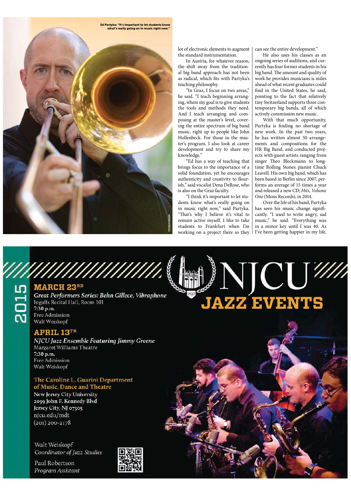

lot of electronic elements to augment the standard instrumentation.

In Austria, for whatever reason, the shift away from the traditional big band approach has not been as radical, which fits with Partyka's teaching philosophy.

"In Graz, I focus on two areas," he said. "I teach beginning arranging, where my goal is to give students the tools and methods they need. And I teach arranging and composing at the master's level, covering the entire spectrum of big band music, right up to people like John Hollenbeck. For those in the master's program, I also look at career development and try to share my knowledge."

"Ed has a way of teaching that brings focus to the importance of a solid foundation, yet he encourages authenticity and creativity to flourish," said vocalist Dena DeRose, who is also on the Graz faculty.

"I think it's important to let students know what's really going on in music right now," said Partyka. "That's why I believe it's vital to remain active myself. I like to take students to Frankfurt when I'm working on a project there so they

 $|1927|$ 

can see the entire development."

He also uses his classes as an ongoing series of auditions, and currently has four former students in his big band. The amount and quality of work he provides musicians is miles ahead of what recent graduates could find in the United States, he said, pointing to the fact that relatively tiny Switzerland supports three contemporary big bands, all of which actively commission new music.

With that much opportunity, Partyka is finding no shortage of new work. In the past two years, he has written almost 50 arrangements and compositions for the HR Big Band, and conducted projects with guest artists ranging from singer Theo Bleckmann to longtime Rolling Stones pianist Chuck Leavell. His own big band, which has been based in Berlin since 2007, performs an average of 15 times a year and released a new CD, *Hits, Volume One* (Mons Records), in 2014.

Over the life of his band, Partyka has seen his music change significantly. "I used to write angry, sad music," he said. "Everything was in a minor key until I was 40. As I've been getting happier in my life,

**VICUW** 

**JAZZ EVENTS** 

William March 23<sup>RD</sup><br>
Great Performers Series: Behn Gillece, Vibraphone<br>
The Scrib Recital Hall, Room 101<br>
The Admission<br>
Walt Weiskopf Walt Weiskopf

#### **APRIL 13TH**

NJCU Jazz Ensemble Featuring Jimmy Greene Margaret Williams Theatre 7:30 p.m. Free Admission Walt Weiskopf

#### The Caroline L. Guarini Department of Music, Dance and Theatre

New Jersey City University 2039 John F. Kennedy Blvd Jersey City, NJ 07305 njcu.edu/mdt  $(201)$  200-2178

Walt Weiskopf Coordinator of Jazz Studies

Paul Robertson Program Assistant